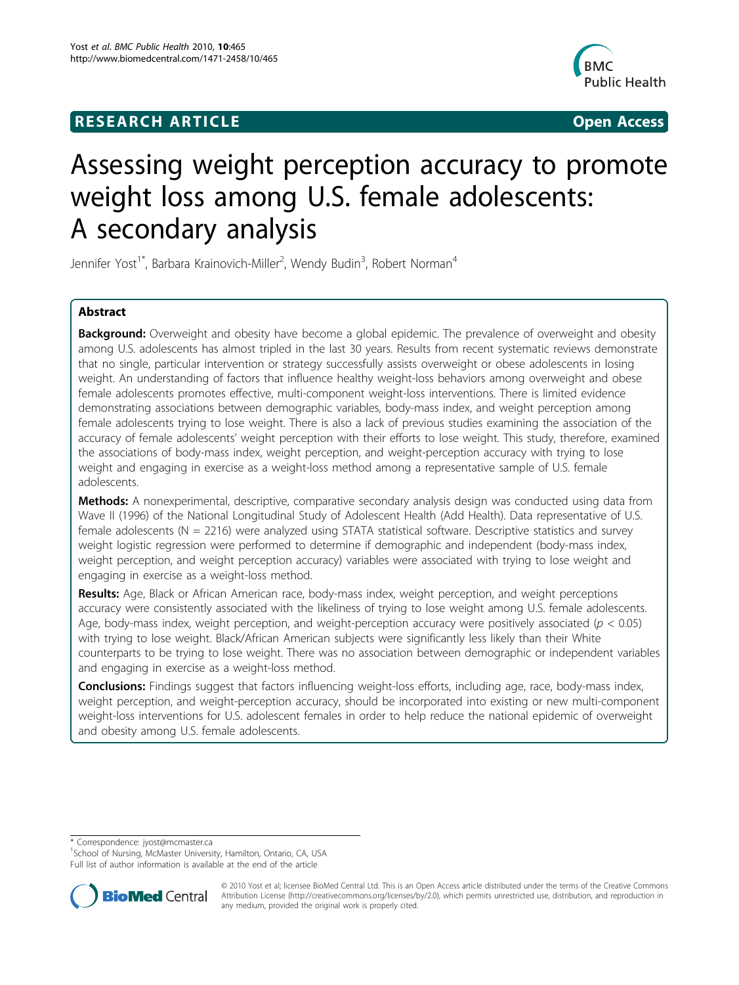# **RESEARCH ARTICLE Example 2018 12:00 Department of the Contract Open Access**



# Assessing weight perception accuracy to promote weight loss among U.S. female adolescents: A secondary analysis

Jennifer Yost<sup>1\*</sup>, Barbara Krainovich-Miller<sup>2</sup>, Wendy Budin<sup>3</sup>, Robert Norman<sup>4</sup>

# Abstract

Background: Overweight and obesity have become a global epidemic. The prevalence of overweight and obesity among U.S. adolescents has almost tripled in the last 30 years. Results from recent systematic reviews demonstrate that no single, particular intervention or strategy successfully assists overweight or obese adolescents in losing weight. An understanding of factors that influence healthy weight-loss behaviors among overweight and obese female adolescents promotes effective, multi-component weight-loss interventions. There is limited evidence demonstrating associations between demographic variables, body-mass index, and weight perception among female adolescents trying to lose weight. There is also a lack of previous studies examining the association of the accuracy of female adolescents' weight perception with their efforts to lose weight. This study, therefore, examined the associations of body-mass index, weight perception, and weight-perception accuracy with trying to lose weight and engaging in exercise as a weight-loss method among a representative sample of U.S. female adolescents.

Methods: A nonexperimental, descriptive, comparative secondary analysis design was conducted using data from Wave II (1996) of the National Longitudinal Study of Adolescent Health (Add Health). Data representative of U.S. female adolescents (N = 2216) were analyzed using STATA statistical software. Descriptive statistics and survey weight logistic regression were performed to determine if demographic and independent (body-mass index, weight perception, and weight perception accuracy) variables were associated with trying to lose weight and engaging in exercise as a weight-loss method.

Results: Age, Black or African American race, body-mass index, weight perception, and weight perceptions accuracy were consistently associated with the likeliness of trying to lose weight among U.S. female adolescents. Age, body-mass index, weight perception, and weight-perception accuracy were positively associated ( $p < 0.05$ ) with trying to lose weight. Black/African American subjects were significantly less likely than their White counterparts to be trying to lose weight. There was no association between demographic or independent variables and engaging in exercise as a weight-loss method.

**Conclusions:** Findings suggest that factors influencing weight-loss efforts, including age, race, body-mass index, weight perception, and weight-perception accuracy, should be incorporated into existing or new multi-component weight-loss interventions for U.S. adolescent females in order to help reduce the national epidemic of overweight and obesity among U.S. female adolescents.

\* Correspondence: [jyost@mcmaster.ca](mailto:jyost@mcmaster.ca)

<sup>1</sup>School of Nursing, McMaster University, Hamilton, Ontario, CA, USA Full list of author information is available at the end of the article



© 2010 Yost et al; licensee BioMed Central Ltd. This is an Open Access article distributed under the terms of the Creative Commons Attribution License [\(http://creativecommons.org/licenses/by/2.0](http://creativecommons.org/licenses/by/2.0)), which permits unrestricted use, distribution, and reproduction in any medium, provided the original work is properly cited.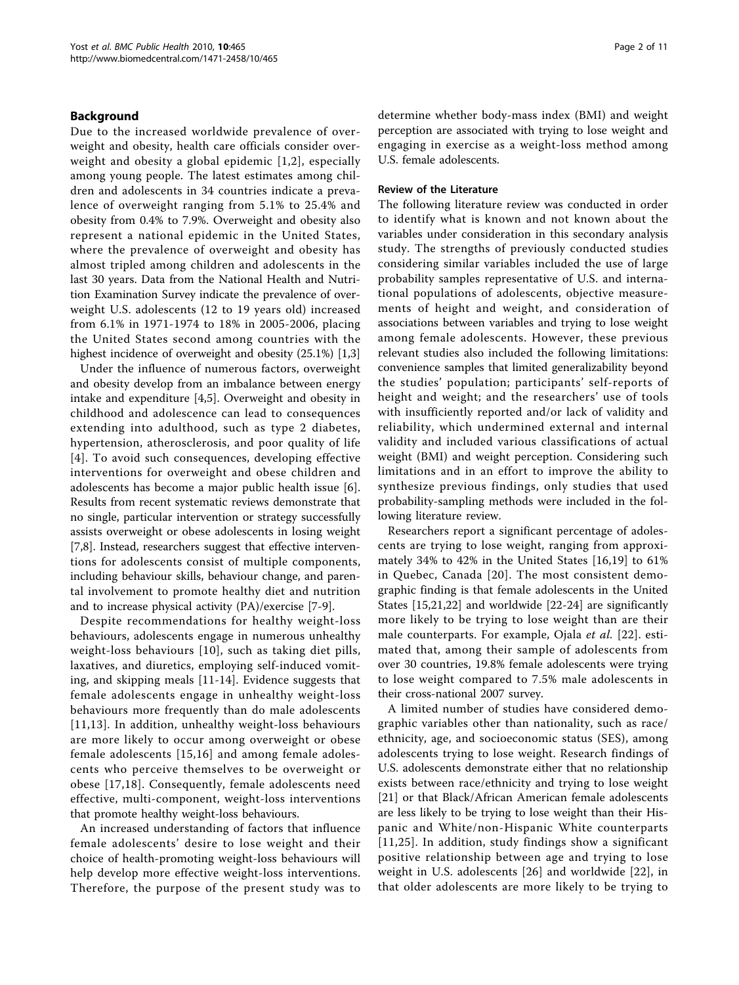#### Background

Due to the increased worldwide prevalence of overweight and obesity, health care officials consider overweight and obesity a global epidemic [[1](#page-9-0),[2\]](#page-9-0), especially among young people. The latest estimates among children and adolescents in 34 countries indicate a prevalence of overweight ranging from 5.1% to 25.4% and obesity from 0.4% to 7.9%. Overweight and obesity also represent a national epidemic in the United States, where the prevalence of overweight and obesity has almost tripled among children and adolescents in the last 30 years. Data from the National Health and Nutrition Examination Survey indicate the prevalence of overweight U.S. adolescents (12 to 19 years old) increased from 6.1% in 1971-1974 to 18% in 2005-2006, placing the United States second among countries with the highest incidence of overweight and obesity (25.1%) [[1](#page-9-0),[3](#page-9-0)]

Under the influence of numerous factors, overweight and obesity develop from an imbalance between energy intake and expenditure [[4,5\]](#page-9-0). Overweight and obesity in childhood and adolescence can lead to consequences extending into adulthood, such as type 2 diabetes, hypertension, atherosclerosis, and poor quality of life [[4](#page-9-0)]. To avoid such consequences, developing effective interventions for overweight and obese children and adolescents has become a major public health issue [\[6](#page-9-0)]. Results from recent systematic reviews demonstrate that no single, particular intervention or strategy successfully assists overweight or obese adolescents in losing weight [[7,8\]](#page-9-0). Instead, researchers suggest that effective interventions for adolescents consist of multiple components, including behaviour skills, behaviour change, and parental involvement to promote healthy diet and nutrition and to increase physical activity (PA)/exercise [\[7](#page-9-0)-[9\]](#page-9-0).

Despite recommendations for healthy weight-loss behaviours, adolescents engage in numerous unhealthy weight-loss behaviours [[10](#page-9-0)], such as taking diet pills, laxatives, and diuretics, employing self-induced vomiting, and skipping meals [[11](#page-9-0)-[14\]](#page-9-0). Evidence suggests that female adolescents engage in unhealthy weight-loss behaviours more frequently than do male adolescents [[11](#page-9-0),[13](#page-9-0)]. In addition, unhealthy weight-loss behaviours are more likely to occur among overweight or obese female adolescents [\[15,16\]](#page-9-0) and among female adolescents who perceive themselves to be overweight or obese [[17](#page-9-0),[18\]](#page-9-0). Consequently, female adolescents need effective, multi-component, weight-loss interventions that promote healthy weight-loss behaviours.

An increased understanding of factors that influence female adolescents' desire to lose weight and their choice of health-promoting weight-loss behaviours will help develop more effective weight-loss interventions. Therefore, the purpose of the present study was to determine whether body-mass index (BMI) and weight perception are associated with trying to lose weight and engaging in exercise as a weight-loss method among U.S. female adolescents.

#### Review of the Literature

The following literature review was conducted in order to identify what is known and not known about the variables under consideration in this secondary analysis study. The strengths of previously conducted studies considering similar variables included the use of large probability samples representative of U.S. and international populations of adolescents, objective measurements of height and weight, and consideration of associations between variables and trying to lose weight among female adolescents. However, these previous relevant studies also included the following limitations: convenience samples that limited generalizability beyond the studies' population; participants' self-reports of height and weight; and the researchers' use of tools with insufficiently reported and/or lack of validity and reliability, which undermined external and internal validity and included various classifications of actual weight (BMI) and weight perception. Considering such limitations and in an effort to improve the ability to synthesize previous findings, only studies that used probability-sampling methods were included in the following literature review.

Researchers report a significant percentage of adolescents are trying to lose weight, ranging from approximately 34% to 42% in the United States [[16,19](#page-9-0)] to 61% in Quebec, Canada [[20\]](#page-9-0). The most consistent demographic finding is that female adolescents in the United States [\[15,21,22](#page-9-0)] and worldwide [[22-24\]](#page-9-0) are significantly more likely to be trying to lose weight than are their male counterparts. For example, Ojala et al. [[22](#page-9-0)]. estimated that, among their sample of adolescents from over 30 countries, 19.8% female adolescents were trying to lose weight compared to 7.5% male adolescents in their cross-national 2007 survey.

A limited number of studies have considered demographic variables other than nationality, such as race/ ethnicity, age, and socioeconomic status (SES), among adolescents trying to lose weight. Research findings of U.S. adolescents demonstrate either that no relationship exists between race/ethnicity and trying to lose weight [[21\]](#page-9-0) or that Black/African American female adolescents are less likely to be trying to lose weight than their Hispanic and White/non-Hispanic White counterparts [[11,25](#page-9-0)]. In addition, study findings show a significant positive relationship between age and trying to lose weight in U.S. adolescents [[26](#page-9-0)] and worldwide [[22](#page-9-0)], in that older adolescents are more likely to be trying to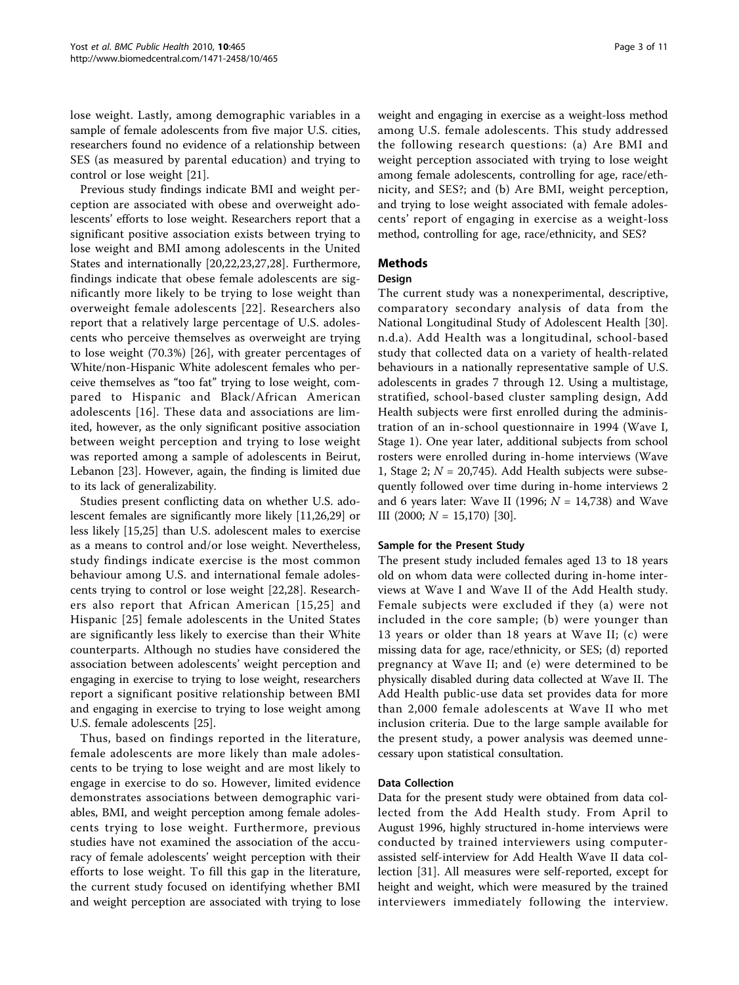lose weight. Lastly, among demographic variables in a sample of female adolescents from five major U.S. cities, researchers found no evidence of a relationship between SES (as measured by parental education) and trying to control or lose weight [[21](#page-9-0)].

Previous study findings indicate BMI and weight perception are associated with obese and overweight adolescents' efforts to lose weight. Researchers report that a significant positive association exists between trying to lose weight and BMI among adolescents in the United States and internationally [[20,22,23,27,28](#page-9-0)]. Furthermore, findings indicate that obese female adolescents are significantly more likely to be trying to lose weight than overweight female adolescents [[22\]](#page-9-0). Researchers also report that a relatively large percentage of U.S. adolescents who perceive themselves as overweight are trying to lose weight (70.3%) [[26\]](#page-9-0), with greater percentages of White/non-Hispanic White adolescent females who perceive themselves as "too fat" trying to lose weight, compared to Hispanic and Black/African American adolescents [[16\]](#page-9-0). These data and associations are limited, however, as the only significant positive association between weight perception and trying to lose weight was reported among a sample of adolescents in Beirut, Lebanon [[23](#page-9-0)]. However, again, the finding is limited due to its lack of generalizability.

Studies present conflicting data on whether U.S. adolescent females are significantly more likely [[11](#page-9-0),[26](#page-9-0),[29](#page-9-0)] or less likely [[15,25\]](#page-9-0) than U.S. adolescent males to exercise as a means to control and/or lose weight. Nevertheless, study findings indicate exercise is the most common behaviour among U.S. and international female adolescents trying to control or lose weight [\[22](#page-9-0),[28](#page-9-0)]. Researchers also report that African American [[15,25](#page-9-0)] and Hispanic [\[25\]](#page-9-0) female adolescents in the United States are significantly less likely to exercise than their White counterparts. Although no studies have considered the association between adolescents' weight perception and engaging in exercise to trying to lose weight, researchers report a significant positive relationship between BMI and engaging in exercise to trying to lose weight among U.S. female adolescents [[25\]](#page-9-0).

Thus, based on findings reported in the literature, female adolescents are more likely than male adolescents to be trying to lose weight and are most likely to engage in exercise to do so. However, limited evidence demonstrates associations between demographic variables, BMI, and weight perception among female adolescents trying to lose weight. Furthermore, previous studies have not examined the association of the accuracy of female adolescents' weight perception with their efforts to lose weight. To fill this gap in the literature, the current study focused on identifying whether BMI and weight perception are associated with trying to lose weight and engaging in exercise as a weight-loss method among U.S. female adolescents. This study addressed the following research questions: (a) Are BMI and weight perception associated with trying to lose weight among female adolescents, controlling for age, race/ethnicity, and SES?; and (b) Are BMI, weight perception, and trying to lose weight associated with female adolescents' report of engaging in exercise as a weight-loss method, controlling for age, race/ethnicity, and SES?

# Methods

# Design

The current study was a nonexperimental, descriptive, comparatory secondary analysis of data from the National Longitudinal Study of Adolescent Health [[30](#page-9-0)]. n.d.a). Add Health was a longitudinal, school-based study that collected data on a variety of health-related behaviours in a nationally representative sample of U.S. adolescents in grades 7 through 12. Using a multistage, stratified, school-based cluster sampling design, Add Health subjects were first enrolled during the administration of an in-school questionnaire in 1994 (Wave I, Stage 1). One year later, additional subjects from school rosters were enrolled during in-home interviews (Wave 1, Stage 2;  $N = 20,745$ ). Add Health subjects were subsequently followed over time during in-home interviews 2 and 6 years later: Wave II (1996;  $N = 14,738$ ) and Wave III (2000;  $N = 15,170$ ) [\[30\]](#page-9-0).

# Sample for the Present Study

The present study included females aged 13 to 18 years old on whom data were collected during in-home interviews at Wave I and Wave II of the Add Health study. Female subjects were excluded if they (a) were not included in the core sample; (b) were younger than 13 years or older than 18 years at Wave II; (c) were missing data for age, race/ethnicity, or SES; (d) reported pregnancy at Wave II; and (e) were determined to be physically disabled during data collected at Wave II. The Add Health public-use data set provides data for more than 2,000 female adolescents at Wave II who met inclusion criteria. Due to the large sample available for the present study, a power analysis was deemed unnecessary upon statistical consultation.

# Data Collection

Data for the present study were obtained from data collected from the Add Health study. From April to August 1996, highly structured in-home interviews were conducted by trained interviewers using computerassisted self-interview for Add Health Wave II data collection [\[31](#page-9-0)]. All measures were self-reported, except for height and weight, which were measured by the trained interviewers immediately following the interview.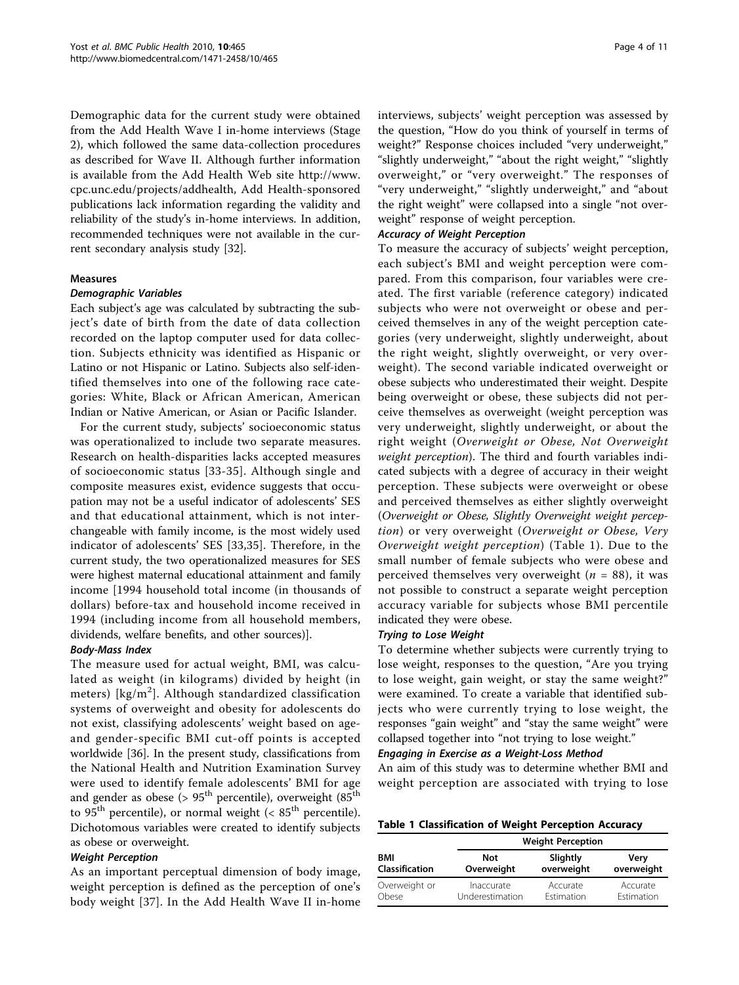Demographic data for the current study were obtained from the Add Health Wave I in-home interviews (Stage 2), which followed the same data-collection procedures as described for Wave II. Although further information is available from the Add Health Web site [http://www.](http://www.cpc.unc.edu/projects/addhealth) [cpc.unc.edu/projects/addhealth,](http://www.cpc.unc.edu/projects/addhealth) Add Health-sponsored publications lack information regarding the validity and reliability of the study's in-home interviews. In addition, recommended techniques were not available in the current secondary analysis study [[32](#page-9-0)].

#### Measures

#### Demographic Variables

Each subject's age was calculated by subtracting the subject's date of birth from the date of data collection recorded on the laptop computer used for data collection. Subjects ethnicity was identified as Hispanic or Latino or not Hispanic or Latino. Subjects also self-identified themselves into one of the following race categories: White, Black or African American, American Indian or Native American, or Asian or Pacific Islander.

For the current study, subjects' socioeconomic status was operationalized to include two separate measures. Research on health-disparities lacks accepted measures of socioeconomic status [\[33-35\]](#page-9-0). Although single and composite measures exist, evidence suggests that occupation may not be a useful indicator of adolescents' SES and that educational attainment, which is not interchangeable with family income, is the most widely used indicator of adolescents' SES [\[33,35\]](#page-9-0). Therefore, in the current study, the two operationalized measures for SES were highest maternal educational attainment and family income [1994 household total income (in thousands of dollars) before-tax and household income received in 1994 (including income from all household members, dividends, welfare benefits, and other sources)].

# Body-Mass Index

The measure used for actual weight, BMI, was calculated as weight (in kilograms) divided by height (in meters) [kg/m<sup>2</sup>]. Although standardized classification systems of overweight and obesity for adolescents do not exist, classifying adolescents' weight based on ageand gender-specific BMI cut-off points is accepted worldwide [\[36](#page-9-0)]. In the present study, classifications from the National Health and Nutrition Examination Survey were used to identify female adolescents' BMI for age and gender as obese ( $> 95<sup>th</sup>$  percentile), overweight (85<sup>th</sup> to 95<sup>th</sup> percentile), or normal weight  $\left( < 85<sup>th</sup>$  percentile). Dichotomous variables were created to identify subjects as obese or overweight.

#### Weight Perception

As an important perceptual dimension of body image, weight perception is defined as the perception of one's body weight [\[37\]](#page-10-0). In the Add Health Wave II in-home interviews, subjects' weight perception was assessed by the question, "How do you think of yourself in terms of weight?" Response choices included "very underweight," "slightly underweight," "about the right weight," "slightly overweight," or "very overweight." The responses of "very underweight," "slightly underweight," and "about the right weight" were collapsed into a single "not overweight" response of weight perception.

#### Accuracy of Weight Perception

To measure the accuracy of subjects' weight perception, each subject's BMI and weight perception were compared. From this comparison, four variables were created. The first variable (reference category) indicated subjects who were not overweight or obese and perceived themselves in any of the weight perception categories (very underweight, slightly underweight, about the right weight, slightly overweight, or very overweight). The second variable indicated overweight or obese subjects who underestimated their weight. Despite being overweight or obese, these subjects did not perceive themselves as overweight (weight perception was very underweight, slightly underweight, or about the right weight (Overweight or Obese, Not Overweight weight perception). The third and fourth variables indicated subjects with a degree of accuracy in their weight perception. These subjects were overweight or obese and perceived themselves as either slightly overweight (Overweight or Obese, Slightly Overweight weight perception) or very overweight (Overweight or Obese, Very Overweight weight perception) (Table 1). Due to the small number of female subjects who were obese and perceived themselves very overweight ( $n = 88$ ), it was not possible to construct a separate weight perception accuracy variable for subjects whose BMI percentile indicated they were obese.

#### Trying to Lose Weight

To determine whether subjects were currently trying to lose weight, responses to the question, "Are you trying to lose weight, gain weight, or stay the same weight?" were examined. To create a variable that identified subjects who were currently trying to lose weight, the responses "gain weight" and "stay the same weight" were collapsed together into "not trying to lose weight."

# Engaging in Exercise as a Weight-Loss Method

An aim of this study was to determine whether BMI and weight perception are associated with trying to lose

|                       | <b>Weight Perception</b> |            |            |  |  |  |
|-----------------------|--------------------------|------------|------------|--|--|--|
| BMI                   | Not                      | Slightly   | Very       |  |  |  |
| <b>Classification</b> | Overweight               | overweight | overweight |  |  |  |
| Overweight or         | Inaccurate               | Accurate   | Accurate   |  |  |  |
| Obese                 | Underestimation          | Estimation | Estimation |  |  |  |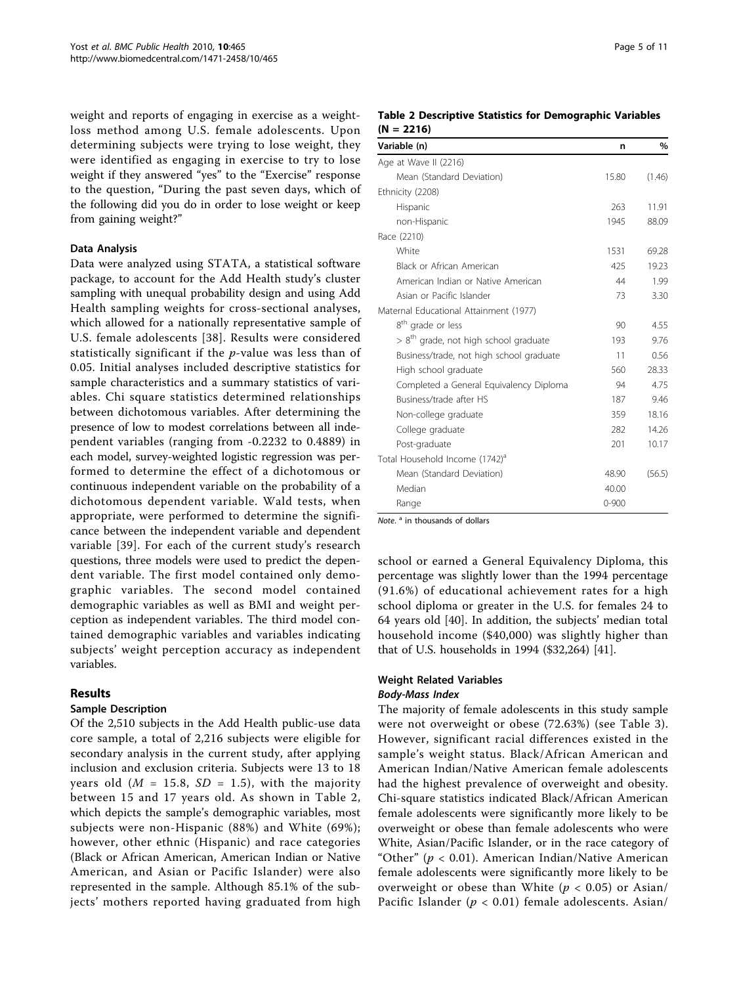weight and reports of engaging in exercise as a weightloss method among U.S. female adolescents. Upon determining subjects were trying to lose weight, they were identified as engaging in exercise to try to lose weight if they answered "yes" to the "Exercise" response to the question, "During the past seven days, which of the following did you do in order to lose weight or keep from gaining weight?"

#### Data Analysis

Data were analyzed using STATA, a statistical software package, to account for the Add Health study's cluster sampling with unequal probability design and using Add Health sampling weights for cross-sectional analyses, which allowed for a nationally representative sample of U.S. female adolescents [[38](#page-10-0)]. Results were considered statistically significant if the p-value was less than of 0.05. Initial analyses included descriptive statistics for sample characteristics and a summary statistics of variables. Chi square statistics determined relationships between dichotomous variables. After determining the presence of low to modest correlations between all independent variables (ranging from -0.2232 to 0.4889) in each model, survey-weighted logistic regression was performed to determine the effect of a dichotomous or continuous independent variable on the probability of a dichotomous dependent variable. Wald tests, when appropriate, were performed to determine the significance between the independent variable and dependent variable [[39](#page-10-0)]. For each of the current study's research questions, three models were used to predict the dependent variable. The first model contained only demographic variables. The second model contained demographic variables as well as BMI and weight perception as independent variables. The third model contained demographic variables and variables indicating subjects' weight perception accuracy as independent variables.

# Results

#### Sample Description

Of the 2,510 subjects in the Add Health public-use data core sample, a total of 2,216 subjects were eligible for secondary analysis in the current study, after applying inclusion and exclusion criteria. Subjects were 13 to 18 years old ( $M = 15.8$ ,  $SD = 1.5$ ), with the majority between 15 and 17 years old. As shown in Table 2, which depicts the sample's demographic variables, most subjects were non-Hispanic (88%) and White (69%); however, other ethnic (Hispanic) and race categories (Black or African American, American Indian or Native American, and Asian or Pacific Islander) were also represented in the sample. Although 85.1% of the subjects' mothers reported having graduated from high

# Table 2 Descriptive Statistics for Demographic Variables  $(N = 2216)$

| Variable (n)                                      | n         | $\%$   |
|---------------------------------------------------|-----------|--------|
| Age at Wave II (2216)                             |           |        |
| Mean (Standard Deviation)                         | 15.80     | (1.46) |
| Ethnicity (2208)                                  |           |        |
| Hispanic                                          | 263       | 11.91  |
| non-Hispanic                                      | 1945      | 88.09  |
| Race (2210)                                       |           |        |
| White                                             | 1531      | 69.28  |
| Black or African American                         | 425       | 19.23  |
| American Indian or Native American                | 44        | 1.99   |
| Asian or Pacific Islander                         | 73        | 3.30   |
| Maternal Educational Attainment (1977)            |           |        |
| 8 <sup>th</sup> grade or less                     | 90        | 4.55   |
| > 8 <sup>th</sup> grade, not high school graduate | 193       | 9.76   |
| Business/trade, not high school graduate          | 11        | 0.56   |
| High school graduate                              | 560       | 28.33  |
| Completed a General Equivalency Diploma           | 94        | 4.75   |
| Business/trade after HS                           | 187       | 9.46   |
| Non-college graduate                              | 359       | 18.16  |
| College graduate                                  | 282       | 14.26  |
| Post-graduate                                     | 201       | 10.17  |
| Total Household Income (1742) <sup>a</sup>        |           |        |
| Mean (Standard Deviation)                         | 48.90     | (56.5) |
| Median                                            | 40.00     |        |
| Range                                             | $0 - 900$ |        |

Note.<sup> $a$ </sup> in thousands of dollars

school or earned a General Equivalency Diploma, this percentage was slightly lower than the 1994 percentage (91.6%) of educational achievement rates for a high school diploma or greater in the U.S. for females 24 to 64 years old [[40\]](#page-10-0). In addition, the subjects' median total household income (\$40,000) was slightly higher than that of U.S. households in 1994 (\$32,264) [[41\]](#page-10-0).

# Weight Related Variables

#### Body-Mass Index

The majority of female adolescents in this study sample were not overweight or obese (72.63%) (see Table [3\)](#page-5-0). However, significant racial differences existed in the sample's weight status. Black/African American and American Indian/Native American female adolescents had the highest prevalence of overweight and obesity. Chi-square statistics indicated Black/African American female adolescents were significantly more likely to be overweight or obese than female adolescents who were White, Asian/Pacific Islander, or in the race category of "Other" ( $p < 0.01$ ). American Indian/Native American female adolescents were significantly more likely to be overweight or obese than White ( $p < 0.05$ ) or Asian/ Pacific Islander ( $p < 0.01$ ) female adolescents. Asian/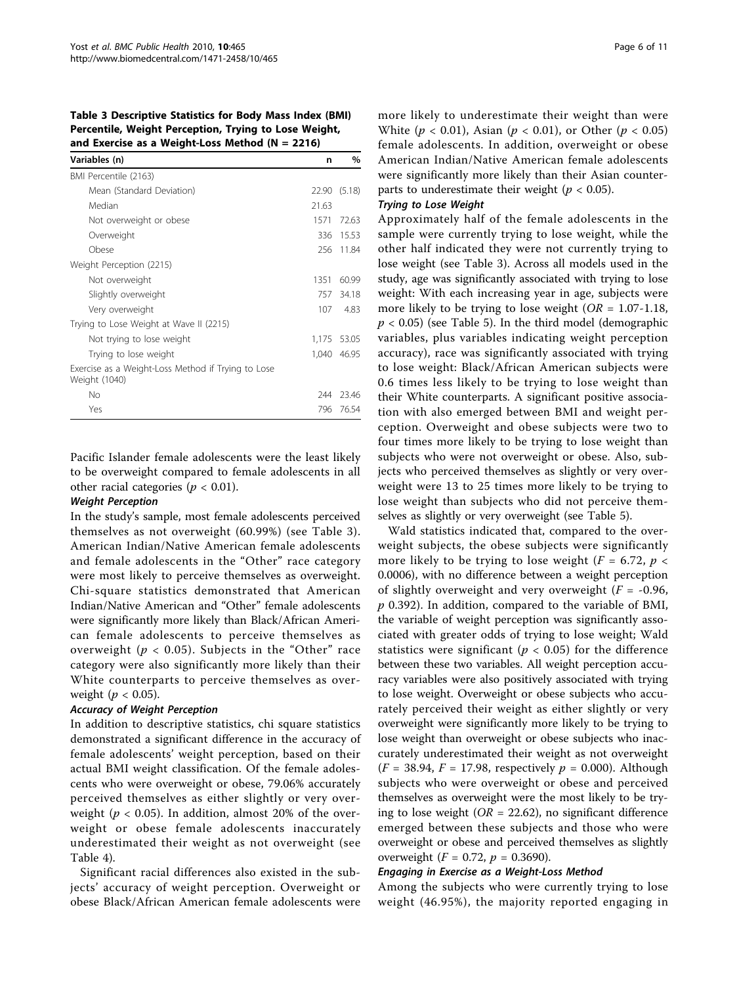<span id="page-5-0"></span>Table 3 Descriptive Statistics for Body Mass Index (BMI) Percentile, Weight Perception, Trying to Lose Weight, and Exercise as a Weight-Loss Method ( $N = 2216$ )

| Variables (n)                                                       | n     | %      |
|---------------------------------------------------------------------|-------|--------|
| BMI Percentile (2163)                                               |       |        |
| Mean (Standard Deviation)                                           | 22.90 | (5.18) |
| Median                                                              | 21.63 |        |
| Not overweight or obese                                             | 1571  | 72.63  |
| Overweight                                                          | 336   | 15.53  |
| Obese                                                               | 256   | 11.84  |
| Weight Perception (2215)                                            |       |        |
| Not overweight                                                      | 1351  | 60.99  |
| Slightly overweight                                                 | 757   | 34.18  |
| Very overweight                                                     | 107   | 4.83   |
| Trying to Lose Weight at Wave II (2215)                             |       |        |
| Not trying to lose weight                                           | 1,175 | 53.05  |
| Trying to lose weight                                               | 1,040 | 46.95  |
| Exercise as a Weight-Loss Method if Trying to Lose<br>Weight (1040) |       |        |
| No                                                                  | 244   | 23.46  |
| Yes                                                                 | 796   | 76.54  |

Pacific Islander female adolescents were the least likely to be overweight compared to female adolescents in all other racial categories ( $p < 0.01$ ).

#### Weight Perception

In the study's sample, most female adolescents perceived themselves as not overweight (60.99%) (see Table 3). American Indian/Native American female adolescents and female adolescents in the "Other" race category were most likely to perceive themselves as overweight. Chi-square statistics demonstrated that American Indian/Native American and "Other" female adolescents were significantly more likely than Black/African American female adolescents to perceive themselves as overweight ( $p < 0.05$ ). Subjects in the "Other" race category were also significantly more likely than their White counterparts to perceive themselves as overweight ( $p < 0.05$ ).

# Accuracy of Weight Perception

In addition to descriptive statistics, chi square statistics demonstrated a significant difference in the accuracy of female adolescents' weight perception, based on their actual BMI weight classification. Of the female adolescents who were overweight or obese, 79.06% accurately perceived themselves as either slightly or very overweight ( $p < 0.05$ ). In addition, almost 20% of the overweight or obese female adolescents inaccurately underestimated their weight as not overweight (see Table [4\)](#page-6-0).

Significant racial differences also existed in the subjects' accuracy of weight perception. Overweight or obese Black/African American female adolescents were more likely to underestimate their weight than were White ( $p < 0.01$ ), Asian ( $p < 0.01$ ), or Other ( $p < 0.05$ ) female adolescents. In addition, overweight or obese American Indian/Native American female adolescents were significantly more likely than their Asian counterparts to underestimate their weight ( $p < 0.05$ ).

#### Trying to Lose Weight

Approximately half of the female adolescents in the sample were currently trying to lose weight, while the other half indicated they were not currently trying to lose weight (see Table 3). Across all models used in the study, age was significantly associated with trying to lose weight: With each increasing year in age, subjects were more likely to be trying to lose weight  $(OR = 1.07-1.18,$  $p < 0.05$ ) (see Table [5\)](#page-6-0). In the third model (demographic variables, plus variables indicating weight perception accuracy), race was significantly associated with trying to lose weight: Black/African American subjects were 0.6 times less likely to be trying to lose weight than their White counterparts. A significant positive association with also emerged between BMI and weight perception. Overweight and obese subjects were two to four times more likely to be trying to lose weight than subjects who were not overweight or obese. Also, subjects who perceived themselves as slightly or very overweight were 13 to 25 times more likely to be trying to lose weight than subjects who did not perceive themselves as slightly or very overweight (see Table [5\)](#page-6-0).

Wald statistics indicated that, compared to the overweight subjects, the obese subjects were significantly more likely to be trying to lose weight ( $F = 6.72$ ,  $p <$ 0.0006), with no difference between a weight perception of slightly overweight and very overweight ( $F = -0.96$ ,  $p$  0.392). In addition, compared to the variable of BMI, the variable of weight perception was significantly associated with greater odds of trying to lose weight; Wald statistics were significant ( $p < 0.05$ ) for the difference between these two variables. All weight perception accuracy variables were also positively associated with trying to lose weight. Overweight or obese subjects who accurately perceived their weight as either slightly or very overweight were significantly more likely to be trying to lose weight than overweight or obese subjects who inaccurately underestimated their weight as not overweight  $(F = 38.94, F = 17.98,$  respectively  $p = 0.000$ ). Although subjects who were overweight or obese and perceived themselves as overweight were the most likely to be trying to lose weight  $(OR = 22.62)$ , no significant difference emerged between these subjects and those who were overweight or obese and perceived themselves as slightly overweight ( $F = 0.72$ ,  $p = 0.3690$ ).

# Engaging in Exercise as a Weight-Loss Method

Among the subjects who were currently trying to lose weight (46.95%), the majority reported engaging in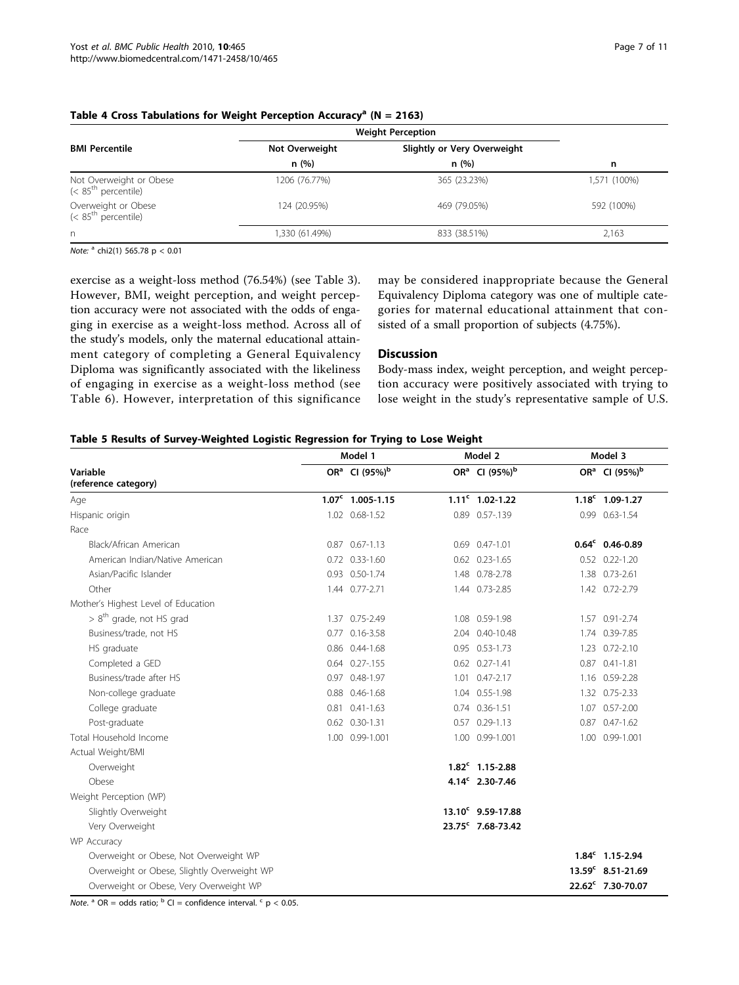|                                                  | <b>Weight Perception</b> |                             |              |
|--------------------------------------------------|--------------------------|-----------------------------|--------------|
| <b>BMI Percentile</b>                            | Not Overweight           | Slightly or Very Overweight |              |
|                                                  | n(%)                     | n(%)                        | n            |
| Not Overweight or Obese<br>$(< 85th$ percentile) | 1206 (76.77%)            | 365 (23.23%)                | 1,571 (100%) |
| Overweight or Obese<br>$(< 85th$ percentile)     | 124 (20.95%)             | 469 (79.05%)                | 592 (100%)   |
| n                                                | 1,330 (61.49%)           | 833 (38.51%)                | 2,163        |

#### <span id="page-6-0"></span>Table 4 Cross Tabulations for Weight Perception Accuracy<sup>a</sup> ( $N = 2163$ )

Note: <sup>a</sup> chi2(1) 565.78 p < 0.01

exercise as a weight-loss method (76.54%) (see Table [3](#page-5-0)). However, BMI, weight perception, and weight perception accuracy were not associated with the odds of engaging in exercise as a weight-loss method. Across all of the study's models, only the maternal educational attainment category of completing a General Equivalency Diploma was significantly associated with the likeliness of engaging in exercise as a weight-loss method (see Table [6\)](#page-7-0). However, interpretation of this significance may be considered inappropriate because the General Equivalency Diploma category was one of multiple categories for maternal educational attainment that consisted of a small proportion of subjects (4.75%).

# Discussion

Body-mass index, weight perception, and weight perception accuracy were positively associated with trying to lose weight in the study's representative sample of U.S.

#### Table 5 Results of Survey-Weighted Logistic Regression for Trying to Lose Weight

|                                             | Model 1 |                                       | Model 2                               |  | Model 3                               |  |
|---------------------------------------------|---------|---------------------------------------|---------------------------------------|--|---------------------------------------|--|
| Variable                                    |         | OR <sup>a</sup> CI (95%) <sup>b</sup> | OR <sup>a</sup> CI (95%) <sup>b</sup> |  | OR <sup>a</sup> CI (95%) <sup>b</sup> |  |
| (reference category)                        |         |                                       |                                       |  |                                       |  |
| Age                                         |         | $1.07c$ 1.005-1.15                    | $1.11c$ 1.02-1.22                     |  | $1.18c$ 1.09-1.27                     |  |
| Hispanic origin                             |         | 1.02 0.68-1.52                        | 0.89 0.57-.139                        |  | 0.99 0.63-1.54                        |  |
| Race                                        |         |                                       |                                       |  |                                       |  |
| Black/African American                      |         | 0.87 0.67-1.13                        | 0.69 0.47-1.01                        |  | $0.64^{\circ}$ 0.46-0.89              |  |
| American Indian/Native American             |         | $0.72$ $0.33 - 1.60$                  | $0.62$ $0.23 - 1.65$                  |  | 0.52 0.22-1.20                        |  |
| Asian/Pacific Islander                      |         | 0.93 0.50-1.74                        | 1.48 0.78-2.78                        |  | 1.38 0.73-2.61                        |  |
| Other                                       |         | 1.44 0.77-2.71                        | 1.44 0.73-2.85                        |  | 1.42 0.72-2.79                        |  |
| Mother's Highest Level of Education         |         |                                       |                                       |  |                                       |  |
| $> 8th$ grade, not HS grad                  |         | 1.37 0.75-2.49                        | 1.08 0.59-1.98                        |  | 1.57 0.91-2.74                        |  |
| Business/trade, not HS                      | 0.77    | $0.16 - 3.58$                         | 2.04 0.40-10.48                       |  | 1.74 0.39-7.85                        |  |
| HS graduate                                 |         | 0.86 0.44-1.68                        | 0.95 0.53-1.73                        |  | 1.23 0.72-2.10                        |  |
| Completed a GED                             |         | 0.64 0.27-.155                        | $0.62$ $0.27 - 1.41$                  |  | 0.87 0.41-1.81                        |  |
| Business/trade after HS                     |         | 0.97 0.48-1.97                        | 1.01 0.47-2.17                        |  | 1.16 0.59-2.28                        |  |
| Non-college graduate                        |         | 0.88 0.46-1.68                        | 1.04 0.55-1.98                        |  | 1.32 0.75-2.33                        |  |
| College graduate                            |         | $0.81$ $0.41 - 1.63$                  | 0.74 0.36-1.51                        |  | 1.07 0.57-2.00                        |  |
| Post-graduate                               |         | 0.62 0.30-1.31                        | 0.57 0.29-1.13                        |  | 0.87 0.47-1.62                        |  |
| Total Household Income                      |         | 1.00 0.99-1.001                       | 1.00 0.99-1.001                       |  | 1.00 0.99-1.001                       |  |
| Actual Weight/BMI                           |         |                                       |                                       |  |                                       |  |
| Overweight                                  |         |                                       | $1.82^c$ 1.15-2.88                    |  |                                       |  |
| Obese                                       |         |                                       | $4.14^c$ 2.30-7.46                    |  |                                       |  |
| Weight Perception (WP)                      |         |                                       |                                       |  |                                       |  |
| Slightly Overweight                         |         |                                       | 13.10 <sup>c</sup> 9.59-17.88         |  |                                       |  |
| Very Overweight                             |         |                                       | 23.75 <sup>c</sup> 7.68-73.42         |  |                                       |  |
| WP Accuracy                                 |         |                                       |                                       |  |                                       |  |
| Overweight or Obese, Not Overweight WP      |         |                                       |                                       |  | $1.84^c$ 1.15-2.94                    |  |
| Overweight or Obese, Slightly Overweight WP |         |                                       |                                       |  | 13.59 <sup>c</sup> 8.51-21.69         |  |
| Overweight or Obese, Very Overweight WP     |         |                                       |                                       |  | 22.62 <sup>c</sup> 7.30-70.07         |  |

Note.  $a^a$  OR = odds ratio;  $b^b$  CI = confidence interval.  $c^c$  p < 0.05.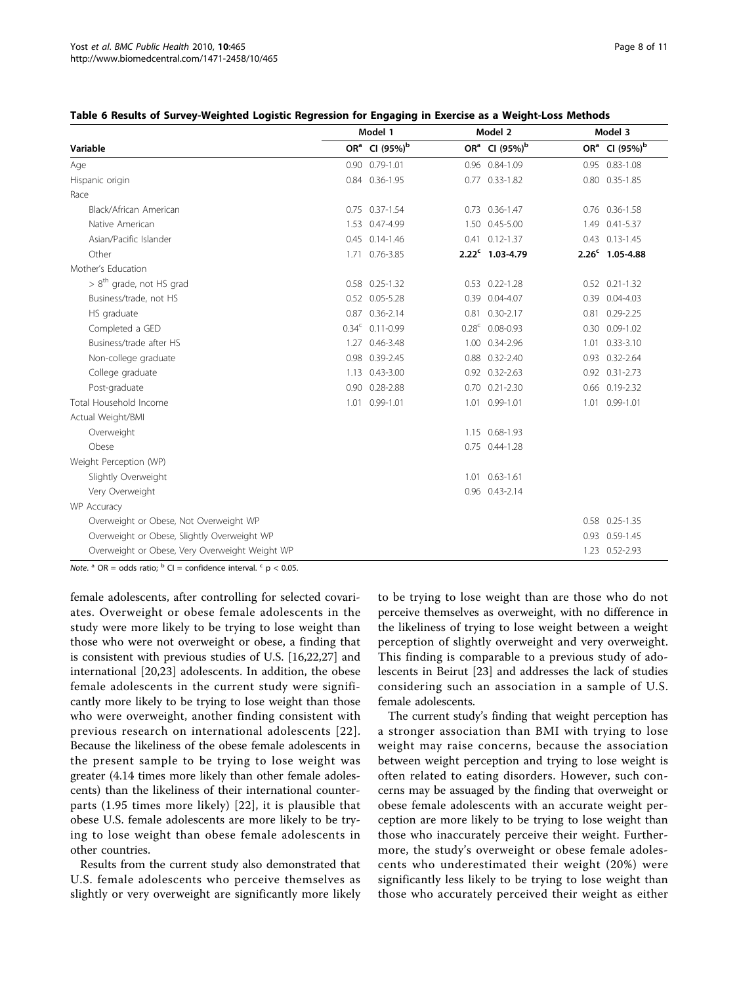#### <span id="page-7-0"></span>Table 6 Results of Survey-Weighted Logistic Regression for Engaging in Exercise as a Weight-Loss Methods

|                                                | Model 1           |                                       | Model 2           |                                       | Model 3 |                                       |
|------------------------------------------------|-------------------|---------------------------------------|-------------------|---------------------------------------|---------|---------------------------------------|
| Variable                                       |                   | OR <sup>a</sup> CI (95%) <sup>b</sup> |                   | OR <sup>a</sup> CI (95%) <sup>b</sup> |         | OR <sup>a</sup> CI (95%) <sup>b</sup> |
| Age                                            |                   | 0.90 0.79-1.01                        |                   | 0.96 0.84-1.09                        |         | 0.95 0.83-1.08                        |
| Hispanic origin                                |                   | 0.84 0.36-1.95                        |                   | 0.77 0.33-1.82                        |         | 0.80 0.35-1.85                        |
| Race                                           |                   |                                       |                   |                                       |         |                                       |
| Black/African American                         |                   | 0.75 0.37-1.54                        |                   | 0.73 0.36-1.47                        |         | 0.76 0.36-1.58                        |
| Native American                                |                   | 1.53 0.47-4.99                        |                   | 1.50 0.45-5.00                        |         | 1.49 0.41-5.37                        |
| Asian/Pacific Islander                         |                   | 0.45 0.14-1.46                        |                   | 0.41 0.12-1.37                        |         | 0.43 0.13-1.45                        |
| Other                                          | 1.71              | 0.76-3.85                             |                   | $2.22^c$ 1.03-4.79                    |         | $2.26^c$ 1.05-4.88                    |
| Mother's Education                             |                   |                                       |                   |                                       |         |                                       |
| $> 8th$ grade, not HS grad                     |                   | 0.58 0.25-1.32                        |                   | 0.53 0.22-1.28                        |         | $0.52$ $0.21 - 1.32$                  |
| Business/trade, not HS                         |                   | 0.52 0.05-5.28                        | 0.39              | $0.04 - 4.07$                         |         | 0.39 0.04-4.03                        |
| HS graduate                                    | 0.87              | $0.36 - 2.14$                         |                   | 0.81 0.30-2.17                        | 0.81    | $0.29 - 2.25$                         |
| Completed a GED                                | 0.34 <sup>c</sup> | $0.11 - 0.99$                         | 0.28 <sup>c</sup> | $0.08 - 0.93$                         |         | 0.30 0.09-1.02                        |
| Business/trade after HS                        |                   | 1.27 0.46-3.48                        |                   | 1.00 0.34-2.96                        |         | 1.01 0.33-3.10                        |
| Non-college graduate                           |                   | 0.98 0.39-2.45                        |                   | 0.88 0.32-2.40                        |         | 0.93 0.32-2.64                        |
| College graduate                               |                   | 1.13 0.43-3.00                        |                   | 0.92 0.32-2.63                        |         | 0.92 0.31-2.73                        |
| Post-graduate                                  |                   | 0.90 0.28-2.88                        |                   | $0.70$ $0.21 - 2.30$                  |         | 0.66 0.19-2.32                        |
| Total Household Income                         |                   | 1.01 0.99-1.01                        |                   | 1.01 0.99-1.01                        |         | 1.01 0.99-1.01                        |
| Actual Weight/BMI                              |                   |                                       |                   |                                       |         |                                       |
| Overweight                                     |                   |                                       |                   | 1.15 0.68-1.93                        |         |                                       |
| Obese                                          |                   |                                       |                   | 0.75 0.44-1.28                        |         |                                       |
| Weight Perception (WP)                         |                   |                                       |                   |                                       |         |                                       |
| Slightly Overweight                            |                   |                                       |                   | 1.01 0.63-1.61                        |         |                                       |
| Very Overweight                                |                   |                                       |                   | 0.96 0.43-2.14                        |         |                                       |
| WP Accuracy                                    |                   |                                       |                   |                                       |         |                                       |
| Overweight or Obese, Not Overweight WP         |                   |                                       |                   |                                       |         | 0.58 0.25-1.35                        |
| Overweight or Obese, Slightly Overweight WP    |                   |                                       |                   |                                       |         | 0.93 0.59-1.45                        |
| Overweight or Obese, Very Overweight Weight WP |                   |                                       |                   |                                       |         | 1.23 0.52-2.93                        |

Note.  $a^{\circ}$  OR = odds ratio;  $b^{\circ}$  CI = confidence interval.  $c^{\circ}$  p < 0.05.

female adolescents, after controlling for selected covariates. Overweight or obese female adolescents in the study were more likely to be trying to lose weight than those who were not overweight or obese, a finding that is consistent with previous studies of U.S. [\[16,22,27](#page-9-0)] and international [[20,23\]](#page-9-0) adolescents. In addition, the obese female adolescents in the current study were significantly more likely to be trying to lose weight than those who were overweight, another finding consistent with previous research on international adolescents [[22\]](#page-9-0). Because the likeliness of the obese female adolescents in the present sample to be trying to lose weight was greater (4.14 times more likely than other female adolescents) than the likeliness of their international counterparts (1.95 times more likely) [\[22\]](#page-9-0), it is plausible that obese U.S. female adolescents are more likely to be trying to lose weight than obese female adolescents in other countries.

Results from the current study also demonstrated that U.S. female adolescents who perceive themselves as slightly or very overweight are significantly more likely

to be trying to lose weight than are those who do not perceive themselves as overweight, with no difference in the likeliness of trying to lose weight between a weight perception of slightly overweight and very overweight. This finding is comparable to a previous study of adolescents in Beirut [\[23](#page-9-0)] and addresses the lack of studies considering such an association in a sample of U.S. female adolescents.

The current study's finding that weight perception has a stronger association than BMI with trying to lose weight may raise concerns, because the association between weight perception and trying to lose weight is often related to eating disorders. However, such concerns may be assuaged by the finding that overweight or obese female adolescents with an accurate weight perception are more likely to be trying to lose weight than those who inaccurately perceive their weight. Furthermore, the study's overweight or obese female adolescents who underestimated their weight (20%) were significantly less likely to be trying to lose weight than those who accurately perceived their weight as either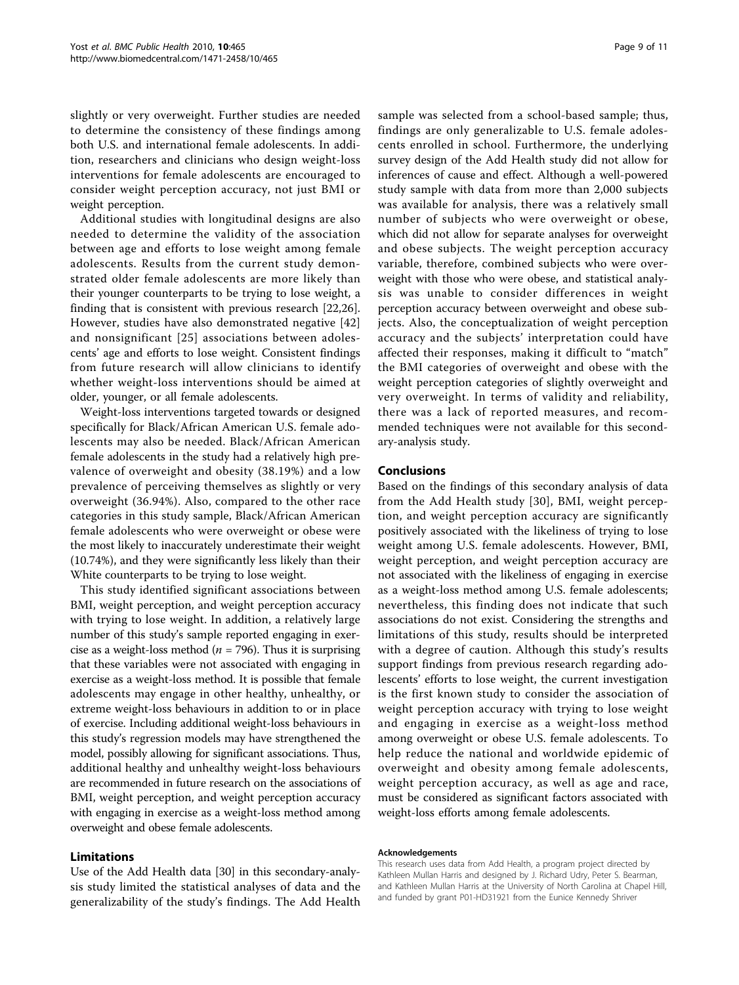slightly or very overweight. Further studies are needed to determine the consistency of these findings among both U.S. and international female adolescents. In addition, researchers and clinicians who design weight-loss interventions for female adolescents are encouraged to consider weight perception accuracy, not just BMI or weight perception.

Additional studies with longitudinal designs are also needed to determine the validity of the association between age and efforts to lose weight among female adolescents. Results from the current study demonstrated older female adolescents are more likely than their younger counterparts to be trying to lose weight, a finding that is consistent with previous research [\[22,26](#page-9-0)]. However, studies have also demonstrated negative [\[42](#page-10-0)] and nonsignificant [[25](#page-9-0)] associations between adolescents' age and efforts to lose weight. Consistent findings from future research will allow clinicians to identify whether weight-loss interventions should be aimed at older, younger, or all female adolescents.

Weight-loss interventions targeted towards or designed specifically for Black/African American U.S. female adolescents may also be needed. Black/African American female adolescents in the study had a relatively high prevalence of overweight and obesity (38.19%) and a low prevalence of perceiving themselves as slightly or very overweight (36.94%). Also, compared to the other race categories in this study sample, Black/African American female adolescents who were overweight or obese were the most likely to inaccurately underestimate their weight (10.74%), and they were significantly less likely than their White counterparts to be trying to lose weight.

This study identified significant associations between BMI, weight perception, and weight perception accuracy with trying to lose weight. In addition, a relatively large number of this study's sample reported engaging in exercise as a weight-loss method ( $n = 796$ ). Thus it is surprising that these variables were not associated with engaging in exercise as a weight-loss method. It is possible that female adolescents may engage in other healthy, unhealthy, or extreme weight-loss behaviours in addition to or in place of exercise. Including additional weight-loss behaviours in this study's regression models may have strengthened the model, possibly allowing for significant associations. Thus, additional healthy and unhealthy weight-loss behaviours are recommended in future research on the associations of BMI, weight perception, and weight perception accuracy with engaging in exercise as a weight-loss method among overweight and obese female adolescents.

# Limitations

Use of the Add Health data [[30](#page-9-0)] in this secondary-analysis study limited the statistical analyses of data and the generalizability of the study's findings. The Add Health Page 9 of 11

sample was selected from a school-based sample; thus, findings are only generalizable to U.S. female adolescents enrolled in school. Furthermore, the underlying survey design of the Add Health study did not allow for inferences of cause and effect. Although a well-powered study sample with data from more than 2,000 subjects was available for analysis, there was a relatively small number of subjects who were overweight or obese, which did not allow for separate analyses for overweight and obese subjects. The weight perception accuracy variable, therefore, combined subjects who were overweight with those who were obese, and statistical analysis was unable to consider differences in weight perception accuracy between overweight and obese subjects. Also, the conceptualization of weight perception accuracy and the subjects' interpretation could have affected their responses, making it difficult to "match" the BMI categories of overweight and obese with the weight perception categories of slightly overweight and very overweight. In terms of validity and reliability, there was a lack of reported measures, and recommended techniques were not available for this secondary-analysis study.

#### Conclusions

Based on the findings of this secondary analysis of data from the Add Health study [[30](#page-9-0)], BMI, weight perception, and weight perception accuracy are significantly positively associated with the likeliness of trying to lose weight among U.S. female adolescents. However, BMI, weight perception, and weight perception accuracy are not associated with the likeliness of engaging in exercise as a weight-loss method among U.S. female adolescents; nevertheless, this finding does not indicate that such associations do not exist. Considering the strengths and limitations of this study, results should be interpreted with a degree of caution. Although this study's results support findings from previous research regarding adolescents' efforts to lose weight, the current investigation is the first known study to consider the association of weight perception accuracy with trying to lose weight and engaging in exercise as a weight-loss method among overweight or obese U.S. female adolescents. To help reduce the national and worldwide epidemic of overweight and obesity among female adolescents, weight perception accuracy, as well as age and race, must be considered as significant factors associated with weight-loss efforts among female adolescents.

#### Acknowledgements

This research uses data from Add Health, a program project directed by Kathleen Mullan Harris and designed by J. Richard Udry, Peter S. Bearman, and Kathleen Mullan Harris at the University of North Carolina at Chapel Hill, and funded by grant P01-HD31921 from the Eunice Kennedy Shriver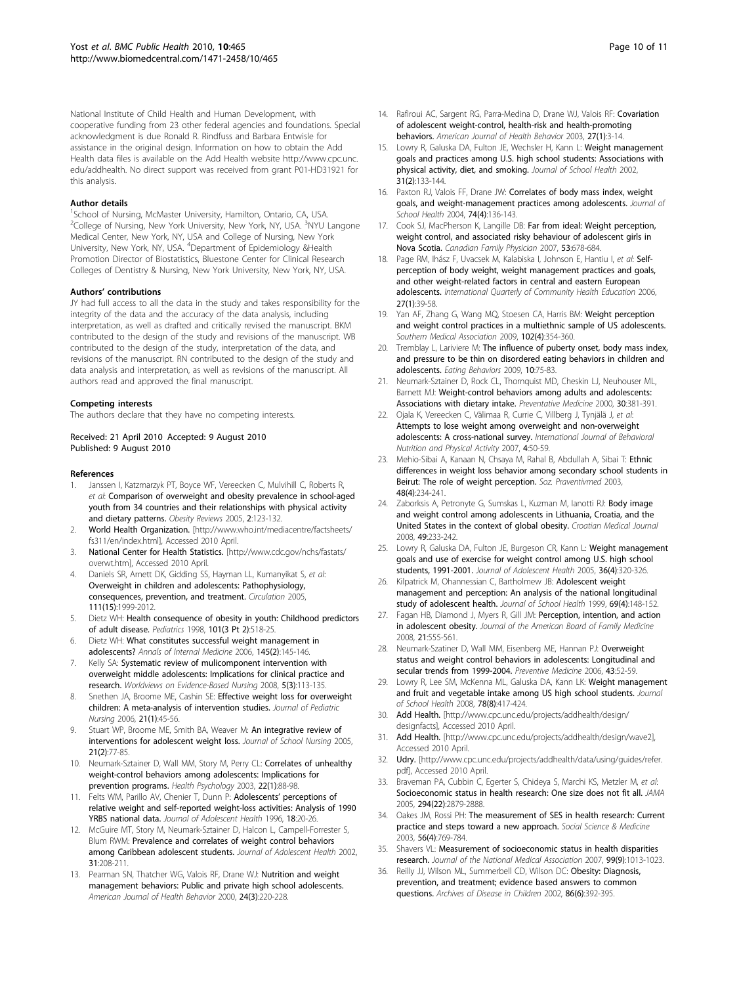<span id="page-9-0"></span>National Institute of Child Health and Human Development, with cooperative funding from 23 other federal agencies and foundations. Special acknowledgment is due Ronald R. Rindfuss and Barbara Entwisle for assistance in the original design. Information on how to obtain the Add Health data files is available on the Add Health website [http://www.cpc.unc.](http://www.cpc.unc.edu/addhealth) [edu/addhealth.](http://www.cpc.unc.edu/addhealth) No direct support was received from grant P01-HD31921 for this analysis.

#### Author details

<sup>1</sup>School of Nursing, McMaster University, Hamilton, Ontario, CA, USA. <sup>2</sup>College of Nursing, New York University, New York, NY, USA. <sup>3</sup>NYU Langone Medical Center, New York, NY, USA and College of Nursing, New York University, New York, NY, USA. <sup>4</sup>Department of Epidemiology &Health Promotion Director of Biostatistics, Bluestone Center for Clinical Research Colleges of Dentistry & Nursing, New York University, New York, NY, USA.

#### Authors' contributions

JY had full access to all the data in the study and takes responsibility for the integrity of the data and the accuracy of the data analysis, including interpretation, as well as drafted and critically revised the manuscript. BKM contributed to the design of the study and revisions of the manuscript. WB contributed to the design of the study, interpretation of the data, and revisions of the manuscript. RN contributed to the design of the study and data analysis and interpretation, as well as revisions of the manuscript. All authors read and approved the final manuscript.

#### Competing interests

The authors declare that they have no competing interests.

#### Received: 21 April 2010 Accepted: 9 August 2010 Published: 9 August 2010

#### References

- Janssen I, Katzmarzyk PT, Boyce WF, Vereecken C, Mulvihill C, Roberts R, et al: Comparison of overweight and obesity prevalence in school-aged youth from 34 countries and their relationships with physical activity and dietary patterns. Obesity Reviews 2005, 2:123-132.
- 2. World Health Organization. [\[http://www.who.int/mediacentre/factsheets/](http://www.who.int/mediacentre/factsheets/fs311/en/index.html) [fs311/en/index.html](http://www.who.int/mediacentre/factsheets/fs311/en/index.html)], Accessed 2010 April.
- 3. National Center for Health Statistics. [\[http://www.cdc.gov/nchs/fastats/](http://www.cdc.gov/nchs/fastats/overwt.htm) [overwt.htm](http://www.cdc.gov/nchs/fastats/overwt.htm)], Accessed 2010 April.
- Daniels SR, Arnett DK, Gidding SS, Hayman LL, Kumanyikat S, et al: [Overweight in children and adolescents: Pathophysiology,](http://www.ncbi.nlm.nih.gov/pubmed/15837955?dopt=Abstract) [consequences, prevention, and treatment.](http://www.ncbi.nlm.nih.gov/pubmed/15837955?dopt=Abstract) Circulation 2005, 111(15):1999-2012.
- 5. Dietz WH: [Health consequence of obesity in youth: Childhood predictors](http://www.ncbi.nlm.nih.gov/pubmed/12224658?dopt=Abstract) [of adult disease.](http://www.ncbi.nlm.nih.gov/pubmed/12224658?dopt=Abstract) Pediatrics 1998, 101(3 Pt 2):518-25.
- 6. Dietz WH: [What constitutes successful weight management in](http://www.ncbi.nlm.nih.gov/pubmed/16847296?dopt=Abstract) [adolescents?](http://www.ncbi.nlm.nih.gov/pubmed/16847296?dopt=Abstract) Annals of Internal Medicine 2006, 145(2):145-146.
- 7. Kelly SA: [Systematic review of mulicomponent intervention with](http://www.ncbi.nlm.nih.gov/pubmed/19076911?dopt=Abstract) [overweight middle adolescents: Implications for clinical practice and](http://www.ncbi.nlm.nih.gov/pubmed/19076911?dopt=Abstract) [research.](http://www.ncbi.nlm.nih.gov/pubmed/19076911?dopt=Abstract) Worldviews on Evidence-Based Nursing 2008, 5(3):113-135.
- 8. Snethen JA, Broome ME, Cashin SE: [Effective weight loss for overweight](http://www.ncbi.nlm.nih.gov/pubmed/16428013?dopt=Abstract) [children: A meta-analysis of intervention studies.](http://www.ncbi.nlm.nih.gov/pubmed/16428013?dopt=Abstract) Journal of Pediatric Nursing 2006, 21(1):45-56.
- Stuart WP, Broome ME, Smith BA, Weaver M: [An integrative review of](http://www.ncbi.nlm.nih.gov/pubmed/15801873?dopt=Abstract) [interventions for adolescent weight loss.](http://www.ncbi.nlm.nih.gov/pubmed/15801873?dopt=Abstract) Journal of School Nursing 2005, 21(2):77-85.
- 10. Neumark-Sztainer D, Wall MM, Story M, Perry CL: [Correlates of unhealthy](http://www.ncbi.nlm.nih.gov/pubmed/12558206?dopt=Abstract) [weight-control behaviors among adolescents: Implications for](http://www.ncbi.nlm.nih.gov/pubmed/12558206?dopt=Abstract) [prevention programs.](http://www.ncbi.nlm.nih.gov/pubmed/12558206?dopt=Abstract) Health Psychology 2003, 22(1):88-98.
- 11. Felts WM, Parillo AV, Chenier T, Dunn P: Adolescents' [perceptions of](http://www.ncbi.nlm.nih.gov/pubmed/8750424?dopt=Abstract) [relative weight and self-reported weight-loss activities: Analysis of 1990](http://www.ncbi.nlm.nih.gov/pubmed/8750424?dopt=Abstract) [YRBS national data.](http://www.ncbi.nlm.nih.gov/pubmed/8750424?dopt=Abstract) Journal of Adolescent Health 1996, 18:20-26.
- 12. McGuire MT, Story M, Neumark-Sztainer D, Halcon L, Campell-Forrester S, Blum RWM: [Prevalence and correlates of weight control behaviors](http://www.ncbi.nlm.nih.gov/pubmed/12127392?dopt=Abstract) [among Caribbean adolescent students.](http://www.ncbi.nlm.nih.gov/pubmed/12127392?dopt=Abstract) Journal of Adolescent Health 2002, 31:208-211.
- 13. Pearman SN, Thatcher WG, Valois RF, Drane WJ: Nutrition and weight management behaviors: Public and private high school adolescents. American Journal of Health Behavior 2000, 24(3):220-228.
- 14. Rafiroui AC, Sargent RG, Parra-Medina D, Drane WJ, Valois RF: [Covariation](http://www.ncbi.nlm.nih.gov/pubmed/12500947?dopt=Abstract) [of adolescent weight-control, health-risk and health-promoting](http://www.ncbi.nlm.nih.gov/pubmed/12500947?dopt=Abstract) [behaviors.](http://www.ncbi.nlm.nih.gov/pubmed/12500947?dopt=Abstract) American Journal of Health Behavior 2003, 27(1):3-14.
- 15. Lowry R, Galuska DA, Fulton JE, Wechsler H, Kann L: Weight management goals and practices among U.S. high school students: Associations with physical activity, diet, and smoking. Journal of School Health 2002, 31(2):133-144.
- 16. Paxton RJ, Valois FF, Drane JW: [Correlates of body mass index, weight](http://www.ncbi.nlm.nih.gov/pubmed/15193004?dopt=Abstract) [goals, and weight-management practices among adolescents.](http://www.ncbi.nlm.nih.gov/pubmed/15193004?dopt=Abstract) Journal of School Health 2004, 74(4):136-143.
- 17. Cook SJ, MacPherson K, Langille DB: Far from ideal: Weight perception, weight control, and associated risky behaviour of adolescent girls in Nova Scotia. Canadian Family Physician 2007, 53:678-684.
- 18. Page RM, Ihász F, Uvacsek M, Kalabiska I, Johnson E, Hantiu I, et al: [Self](http://www.ncbi.nlm.nih.gov/pubmed/18039628?dopt=Abstract)[perception of body weight, weight management practices and goals,](http://www.ncbi.nlm.nih.gov/pubmed/18039628?dopt=Abstract) [and other weight-related factors in central and eastern European](http://www.ncbi.nlm.nih.gov/pubmed/18039628?dopt=Abstract) [adolescents.](http://www.ncbi.nlm.nih.gov/pubmed/18039628?dopt=Abstract) International Quarterly of Community Health Education 2006, 27(1):39-58.
- 19. Yan AF, Zhang G, Wang MQ, Stoesen CA, Harris BM: Weight perception and weight control practices in a multiethnic sample of US adolescents. Southern Medical Association 2009, 102(4):354-360.
- 20. Tremblay L, Lariviere M: [The influence of puberty onset, body mass index,](http://www.ncbi.nlm.nih.gov/pubmed/19447348?dopt=Abstract) [and pressure to be thin on disordered eating behaviors in children and](http://www.ncbi.nlm.nih.gov/pubmed/19447348?dopt=Abstract) [adolescents.](http://www.ncbi.nlm.nih.gov/pubmed/19447348?dopt=Abstract) Eating Behaviors 2009, 10:75-83.
- 21. Neumark-Sztainer D, Rock CL, Thornquist MD, Cheskin LJ, Neuhouser ML, Barnett MJ: Weight-control behaviors among adults and adolescents: Associations with dietary intake. Preventative Medicine 2000, 30:381-391.
- 22. Oiala K, Vereecken C, Välimaa R, Currie C, Villberg J, Tynjälä J, et al: [Attempts to lose weight among overweight and non-overweight](http://www.ncbi.nlm.nih.gov/pubmed/17935629?dopt=Abstract) [adolescents: A cross-national survey.](http://www.ncbi.nlm.nih.gov/pubmed/17935629?dopt=Abstract) International Journal of Behavioral Nutrition and Physical Activity 2007, 4:50-59.
- 23. Mehio-Sibai A, Kanaan N, Chsaya M, Rahal B, Abdullah A, Sibai T: [Ethnic](http://www.ncbi.nlm.nih.gov/pubmed/12971111?dopt=Abstract) [differences in weight loss behavior among secondary school students in](http://www.ncbi.nlm.nih.gov/pubmed/12971111?dopt=Abstract) [Beirut: The role of weight perception.](http://www.ncbi.nlm.nih.gov/pubmed/12971111?dopt=Abstract) Soz. Praventivmed 2003, 48(4):234-241.
- 24. Zaborksis A, Petronyte G, Sumskas L, Kuzman M, Ianotti RJ: [Body image](http://www.ncbi.nlm.nih.gov/pubmed/18461679?dopt=Abstract) [and weight control among adolescents in Lithuania, Croatia, and the](http://www.ncbi.nlm.nih.gov/pubmed/18461679?dopt=Abstract) [United States in the context of global obesity.](http://www.ncbi.nlm.nih.gov/pubmed/18461679?dopt=Abstract) Croatian Medical Journal 2008, 49:233-242.
- 25. Lowry R, Galuska DA, Fulton JE, Burgeson CR, Kann L: [Weight management](http://www.ncbi.nlm.nih.gov/pubmed/15780787?dopt=Abstract) [goals and use of exercise for weight control among U.S. high school](http://www.ncbi.nlm.nih.gov/pubmed/15780787?dopt=Abstract) [students, 1991-2001.](http://www.ncbi.nlm.nih.gov/pubmed/15780787?dopt=Abstract) Journal of Adolescent Health 2005, 36(4):320-326.
- 26. Kilpatrick M, Ohannessian C, Bartholmew JB: [Adolescent weight](http://www.ncbi.nlm.nih.gov/pubmed/10354984?dopt=Abstract) [management and perception: An analysis of the national longitudinal](http://www.ncbi.nlm.nih.gov/pubmed/10354984?dopt=Abstract) [study of adolescent health.](http://www.ncbi.nlm.nih.gov/pubmed/10354984?dopt=Abstract) Journal of School Health 1999, 69(4):148-152.
- 27. Fagan HB, Diamond J, Myers R, Gill JM: [Perception, intention, and action](http://www.ncbi.nlm.nih.gov/pubmed/18988723?dopt=Abstract) [in adolescent obesity.](http://www.ncbi.nlm.nih.gov/pubmed/18988723?dopt=Abstract) Journal of the American Board of Family Medicine 2008, 21:555-561.
- 28. Neumark-Szatiner D, Wall MM, Eisenberg ME, Hannan PJ: [Overweight](http://www.ncbi.nlm.nih.gov/pubmed/16697035?dopt=Abstract) [status and weight control behaviors in adolescents: Longitudinal and](http://www.ncbi.nlm.nih.gov/pubmed/16697035?dopt=Abstract) [secular trends from 1999-2004.](http://www.ncbi.nlm.nih.gov/pubmed/16697035?dopt=Abstract) Preventive Medicine 2006, 43:52-59.
- 29. Lowry R, Lee SM, McKenna ML, Galuska DA, Kann LK: [Weight management](http://www.ncbi.nlm.nih.gov/pubmed/18651928?dopt=Abstract) [and fruit and vegetable intake among US high school students.](http://www.ncbi.nlm.nih.gov/pubmed/18651928?dopt=Abstract) Journal of School Health 2008, 78(8):417-424.
- 30. Add Health. [\[http://www.cpc.unc.edu/projects/addhealth/design/](http://www.cpc.unc.edu/projects/addhealth/design/designfacts) [designfacts](http://www.cpc.unc.edu/projects/addhealth/design/designfacts)], Accessed 2010 April.
- 31. Add Health. [\[http://www.cpc.unc.edu/projects/addhealth/design/wave2\]](http://www.cpc.unc.edu/projects/addhealth/design/wave2), Accessed 2010 April.
- 32. Udry. [\[http://www.cpc.unc.edu/projects/addhealth/data/using/guides/refer.](http://www.cpc.unc.edu/projects/addhealth/data/using/guides/refer.pdf) [pdf](http://www.cpc.unc.edu/projects/addhealth/data/using/guides/refer.pdf)], Accessed 2010 April.
- 33. Braveman PA, Cubbin C, Egerter S, Chideya S, Marchi KS, Metzler M, et al: [Socioeconomic status in health research: One size does not fit all.](http://www.ncbi.nlm.nih.gov/pubmed/16352796?dopt=Abstract) JAMA 2005, 294(22):2879-2888.
- 34. Oakes JM, Rossi PH: The measurement of SES in health research: Current practice and steps toward a new approach. Social Science & Medicine 2003, 56(4):769-784.
- 35. Shavers VL: [Measurement of socioeconomic status in health disparities](http://www.ncbi.nlm.nih.gov/pubmed/17913111?dopt=Abstract) [research.](http://www.ncbi.nlm.nih.gov/pubmed/17913111?dopt=Abstract) Journal of the National Medical Association 2007, 99(9):1013-1023.
- 36. Reilly JJ, Wilson ML, Summerbell CD, Wilson DC: Obesity: Diagnosis, prevention, and treatment; evidence based answers to common questions. Archives of Disease in Children 2002, 86(6):392-395.